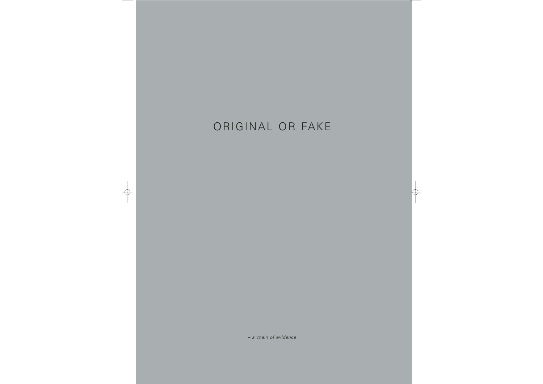# ORIGINAL OR FAKE

 $\bigoplus$ 

*– a chain of evidence*

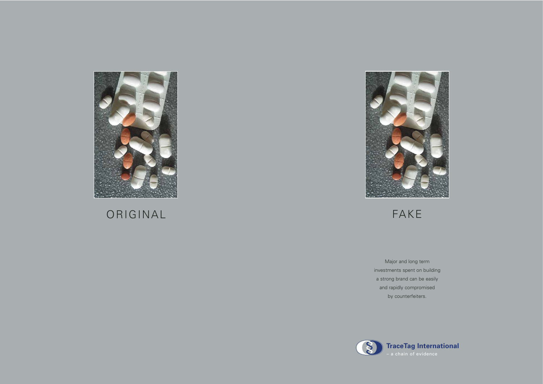

# ORIGINAL FAKE



### **TraceTag International**

Major and long term investments spent on building a strong brand can be easily and rapidly compromised by counterfeiters.

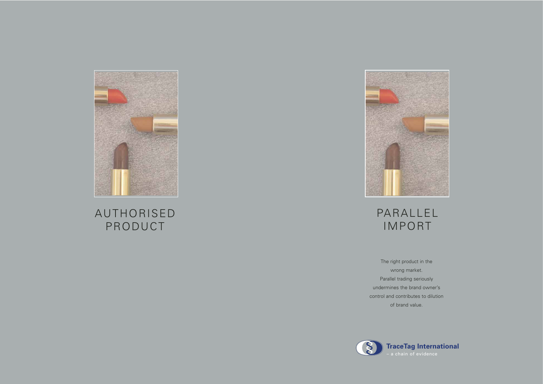



## AUTHORISED PRODUCT



# PARALLEL IMPORT

The right product in the wrong market. Parallel trading seriously undermines the brand owner's control and contributes to dilution of brand value.



- 
- 
- 
- 
- 

### **TraceTag International**

– a chain of evidence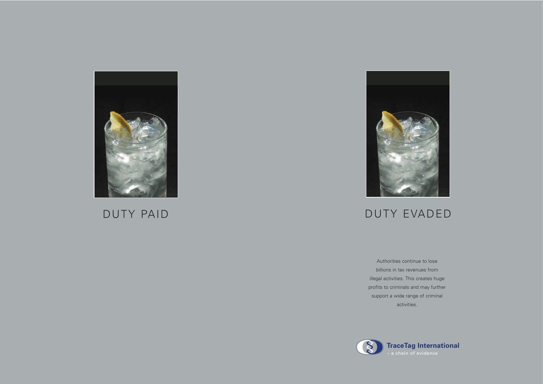

# DUTY PAID DUTY EVADED



Authorities continue to lose billions in tax revenues from illegal activities. This creates huge profits to criminals and may further support a wide range of criminal activities.

## **TraceTag International**

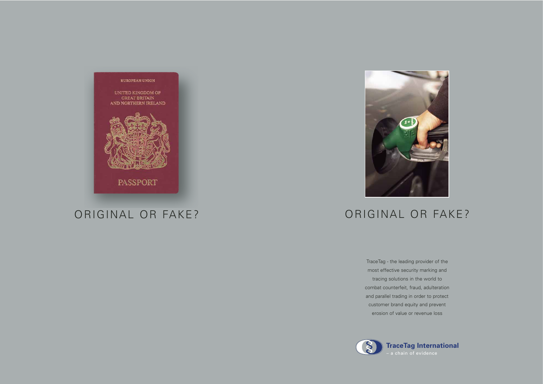

## ORIGINAL OR FAKE? ORIGINAL OR FAKE?



TraceTag - the leading provider of the most effective security marking and tracing solutions in the world to combat counterfeit, fraud, adulteration and parallel trading in order to protect customer brand equity and prevent erosion of value or revenue loss

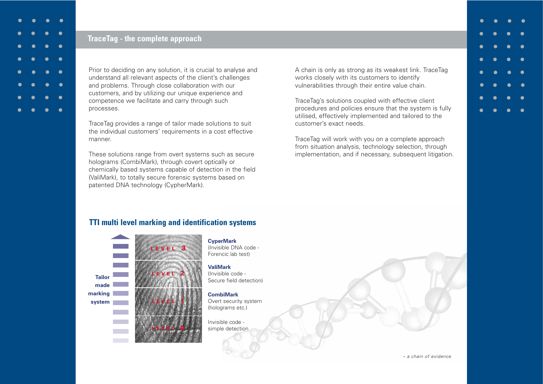Prior to deciding on any solution, it is crucial to analyse and understand all relevant aspects of the client's challenges and problems. Through close collaboration with our customers, and by utilizing our unique experience and competence we facilitate and carry through such processes.

TraceTag provides a range of tailor made solutions to suit the individual customers' requirements in a cost effective manner.

These solutions range from overt systems such as secure holograms (CombiMark), through covert optically or chemically based systems capable of detection in the field (ValiMark), to totally secure forensic systems based on patented DNA technology (CypherMark).

A chain is only as strong as its weakest link. TraceTag works closely with its customers to identify vulnerabilities through their entire value chain.

TraceTag's solutions coupled with effective client procedures and policies ensure that the system is fully utilised, effectively implemented and tailored to the customer's exact needs.

TraceTag will work with you on a complete approach from situation analysis, technology selection, through implementation, and if necessary, subsequent litigation.

### **TTI multi level marking and identification systems**

**CyperMark**

(Invisible DNA code - Forencic lab test)

**ValiMark** (Invisible code - Secure field detection)



**CombiMark** Overt security system (holograms etc.)

Invisible code simple detection





|           |                                                                                     | $\bullet\quad\bullet\quad\bullet\quad$  | $\bullet$ |
|-----------|-------------------------------------------------------------------------------------|-----------------------------------------|-----------|
| $\bullet$ | $\bullet$<br><b>Service Service</b>                                                 | $\bullet$ .                             | $\bullet$ |
|           | $\overline{\bullet}$ $\overline{\bullet}$ $\overline{\bullet}$ $\overline{\bullet}$ | $\bullet$                               | $\bullet$ |
|           | $\bullet$ $\bullet$                                                                 | $\bullet$ .                             | $\bullet$ |
|           |                                                                                     | $\bullet$ $\bullet$ $\bullet$ $\bullet$ | $\bullet$ |
| $\bullet$ | $\bullet$ $\qquad$                                                                  | $\bullet$ $\qquad$                      | $\bullet$ |
| $\bullet$ | $\bullet$                                                                           | $\bullet$                               | $\bullet$ |
| $\bullet$ | $\bullet$                                                                           | $\bullet$                               | $\bullet$ |

### **TraceTag - the complete approach**

*– a chain of evidence*